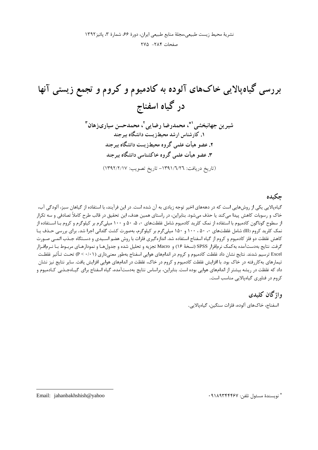صفحات ٢٨٤ - ٢٧٥

### حكىدە

گیاهپالایی یکی از روشهایی است که در دهههای اخیر توجه زیادی به آن شده است. در این فرآیند، با استفاده از گیاهان سبز، آلودگی آب، خاک و رسوبات کاهش پیدا میکند یا حذف میشود. بنابراین، در راستای همین هدف، این تحقیق در قالب طرح کاملاً تصادفی و سه تکرار از سطوح گوناگون کادمیوم با استفاده از نمک کلرید کادمیوم شامل غلظتهای ۵۰ ۵۰ و ۱۰۰ میلیگرم بر کیلوگرم و کروم بـا اسـتفاده از نمک کلرید کروم (III) شامل غلظتهای ۰، ۵۰، ۱۰۰ و ۱۵۰ میلیگرم بر کیلوگرم، بهصورت کشت گلدانی اجرا شد. برای بررسی حـذف یـا كاهش غلظت دو فلز كادميوم و كروم از گياه اسفناج استفاده شد. اندازهگيري فلزات با روش هضم اسـيدي و دسـتگاه جـذب اتمـي صـورت گرفت. نتايج بهدستآمده بهكمك نرمافزار SPSS (نسخهٔ ۱۶) و Macro تجزيه و تحليل شده و جدولهـا و نمودارهـاي مربـوط بـا نـرمافـزار Excel ترسیم شدند. نتایج نشان داد غلظت کادمیوم و کروم در اندامهای هوایی اسفناج بهطور معنیداری (P < ۰/۰۱) تحـت تـأثير غلظـت تیمارهای بهکاررفته در خاک بود. با افزایش غلظت کادمیوم و کروم در خاک، غلظت در اندامهای هوایی افزایش یافت. سایر نتایج نیز نشان داد که غلظت در ریشه بیشتر از اندامهای هوایی بوده است. بنابراین، براساس نتایج بهدستآمده، گیاه اسفناج برای گیــامجـذبی کـادمیوم و کروم در فناوری گیاهیالایی مناسب است.

> واژگان کلیدی اسفناج، خاکهای آلوده، فلزات سنگین، گیاهیالایی.

> > \* نويسندة مسئول تلفن: ٩١٨٩٣۴۴۴۶٧

Email: jahanbakhshish@yahoo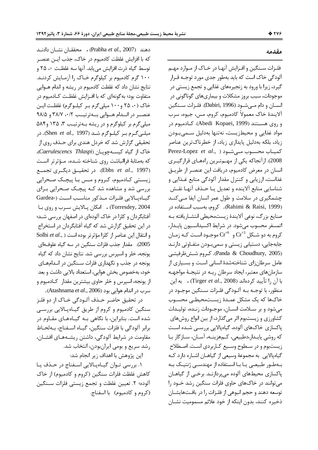دهند (Prabha et al., 2007) . محققـان نشـان دادنـد كه با افزايش غلظت كادميوم در خاك، جذب ايـن عنصـر توسط گیاه ذرت افزایش می یابد. آنها سه غلظـت ۰، ۲۵ و ۱۰۰ گرم کادمیوم بر کیلوگرم خـاک را آزمـایش کردنـد. نتايج نشان داد كه غلظت كادميوم در ريشه و اندام هــوايي متفاوت بود؛ به گونهای که با افــزایش غلظــت کــادمیوم در خاک (۰۰ ۲۵ و۱۰۰ میلی گرم بـر کیلـوگرم) غلظـت ایـن عنصـر در انــدام هــوايي بــهترتيــب ٣٨/٧ ،٠/٢ و ٩٨/٥ میلیگرم بر کیلوگرم و در ریشه بـهترتیـب ۳، ۱۳۵ و۸۴ میلـیگـرم بـر کیلـوگرم شـد (Shen *et al*., 1997). در تحقیقی گزارش شد که خردل هندی برای حـذف روی از خاک از گیاه کیسهچوپان (Caerulescencs Thlaspi)، كه بهمثابهٔ فراانباشت روى شناخته شــده، مــؤثرتر اسـت (Ebbs *et al.*, 1997). در تحقیــق دیگــری تجمــع زیستی کـادمیوم، کـروم و مـس بـا پیچـک صـحرایی بررسی شد و مشاهده شد کـه پیچـک صـحرایی بـرای  $\rm{Gardea}$ -) گیــاهپــالایی فلــزات مــذکور مناســب اســت Torresdey, 2004) . امكان پـالايش سـرب و روى بـا آفتابگردان و کلزا در خاک آلودهای در اصفهان بررسی شـد؛ در این تحقیق گزارش شد که گیاه آفتابگردان در استخراج و انتقال این عناصر از کلزا مؤثرتر بوده است ( Solhi et al., 2005). مقدار جذب فلزات سنگين در سه گياه علوف1اي یونجه، خلر و اسپرس بررسی شد. نتایج نشان داد که گیاه یونجه در جذب و نگهداری فلزات سـنگین در انــدامهــای خود، بهخصوص بخش هوايي، استعداد بالايي داشت و بعد از يونجه، اسپرس و خلر حاوي بيشترين مقدار كـادميوم و سرب در اندام هوايي بود (Atashnama *et al*., 2006).

در تحقيق حاضـر حــذف آلــودگي خــاک از دو فلــز سنگین کادمیوم و کروم از طریق گیـاهپـالایی بررسـی شده است. بنابراین، با نگاهی بـه گیـاههـای مقـاوم در برابر آلودگی با فلزات سنگین، گیـاه اســفناج، بــهلحــاظ مقاومت در شرايط آلودگي، داشتن ريشـههـاي افشـان، رشد سریع و بومی ایرانبودن، انتخاب شد.

این پژوهش با اهداف زیر انجام شد:

١. بررسي تـوان گيـاهپـالايي اسـفناج در حـذف يـا كاهش غلظت فلزات سنگين (كروم و كادميوم) از خاك آلوده؛ ۲. تعيين غلظت و تجمع زيستي فلزات سـنگين (كروم و كادميوم) با اسفناج.

### مقدمه

فلـزات سـنگين و افـزايش آنهـا در خـاک از مـوارد مهـم آلودگی خاک است که باید بهطور جدی مورد توجـه قــرار گیرد، زیرا با ورود به زنجیرههای غذایی و تجمع زیستی در موجودات، سبب بروز مشكلات و بيماريهاي گوناگوني در انســان و دام مــىشــود (Dabiri, 1996). فلــزات ســنگين ألايندهٔ خاک معمولاً کادميوم، کروم، مس، جيوه، سرب و روى هســتند (Abedi Kopaei, 1999). كــادميوم در مواد غذايي و محيطزيست، نهتنها بهدليل سـميبـودن زیاد، بلکه بهدلیل پایداری زیاد، از خطرناکترین عناصر كميـاب محســوب مــ<sub>ى</sub>شــود ( ,Perez-Lopez *et al* 2008). ازآنجاكه يكي از مهـمتـرين راههـاي قرارگيـري انسان در معرض كادميوم، دريافت اين عنصـر از طريـق غذاست، ارزیابی و کنترل مقدار آلودگی منابع غـذایی و شناسايي منابع آلاينده و تعديل يـا حـذف آنهـا نقـش چشمگیری در سلامت و طول عمر انسان ایفا مـیکنـد (Rahimi & Raisi, 1999). كروم، بهسبب اسـتفاده در صنايع بزرگ، نوعي آلايندهٔ زيستمحيطي انتشـاريافته بـه اتمسفر محسوب مىشود. در شرايط اكسيداسـيون پايــدار، کروم به دو شـکل  $\operatorname{Cr}^{+3}$  و  $\operatorname{Cr}^{+6}$  موجـود اسـت کـه زمـان جابهجايي، دستيابي زيستي و سميبودن متفـاوتي دارنـد (Panda & Choudhury, 2005). كروم شــش&طرفيتــى عامل سرطانزای شناختهشدهٔ انسانی است و بسـیاری از سازمانهای معتبر، ایجاد سرطان ریـه در نتیجـهٔ مواجهـه با آن را تأييد كردهاند (Tirger *et al.*, 2008) . به اين منظور، با توجــه بــه آلــودگی فلــزات ســنگين موجــود در خاکـها که یک مشکل عمـدهٔ زیسـتمحیطـی محسـوب میشود و بر سـلامت انسـان، موجـودات زنـده، توليـدات کشاورزی و زیستبوم اثر میگذارد، از بین انواع روشهای پاکسازی خاکھای آلودہ، گیاہپالایی بررسـی شـده اسـت كه روشي پايـدار،دطبيعي، كـمهزينــه، آســان، ســازگار بــا زیستبوم و در سـطوح وسـیع کـاربردی اسـت. اصـطلاح گیاهپالایی به مجموعهٔ وسیعی از گیاهـان اشـاره دارد کـه بـهطـور طبيعـي يـا بـا اسـتفاده از مهندسـي ژنتيـک بـه پاکسازی محیطهای آلوده میپردازنـد. برخــی از گیاهــان می توانند در خاکهای حاوی فلزات سنگین رشد خــود را توسعه دهند و حجم انبوهي از فلـزات را در بافـتهايشــان ذخيره كنند، بدون اينكه از خود علائم مسموميت نشــان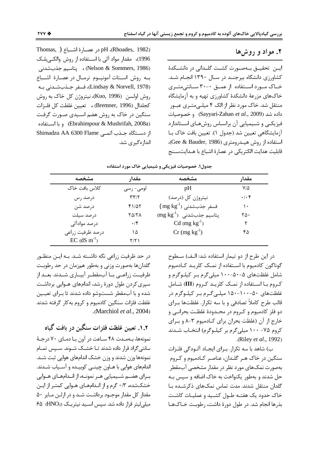### **٢.** مواد و روش ها

ايــن تحقيــق بــهصــورت كشــت گلــدانى در دانشــكدهٔ کشاورزی دانشگاه بیرجنـد در سـال ۱۳۹۰ انجـام شـد. خـاک مـورد اسـتفاده از عمــق ۳۰-۳۰ ســانتىمتــرى خاکهای مزرعهٔ دانشکدهٔ کشاورزی تهیه و به آزمایشگاه منتقل شد. خاک مورد نظر از الک ۴ میلـیمتـری عبــور داده شد (Sayyari-Zahan *et al.*, 2009) و خصوصیات فیزیکـی و شــیمیایی آن براسـاس روشهـای اســتاندارد آزمايشگاهي تعيين شد (جدول ١). تعيين بافت خاک بــا استفاده از روش هیـدرومتری (Gee & Bauder, 1986)، قابلیت هدایت الکتریکی در عصارهٔ اشباع با هـدایتســنج

Thomas, ) در عصـارهٔ اشــباع pH (Rhoades, 1982) 1996)، مقدار مواد آلی با اسـتفاده از روش والکـیبلـک و (Nelson & Sommers, 1986) ، پتاسيم جذبشدنى بـه روش اســتات آمونيــوم نرمــال در عصــارهٔ اشــباع (Lindsay & Norvell, 1978)، فسفر جـذبشـدني بـه روش اولسن (Kuo, 1996)، نيتروژن كل خاك به روش كجلدال (Bremner, 1996) ، تعيين غلظت كل فلـزات سنگین در خاک به روش هضم اسـیدی صـورت گرفـت و با استفاده (Ebrahimpour & Mushrifah, 2008a) از دسـتگاه جـذب اتمـي Shimadzu AA 6300 Flame انداز هگیری شد.

| مشخصه                      | مقدار                    | مشخصه                                                              | مقدار           |
|----------------------------|--------------------------|--------------------------------------------------------------------|-----------------|
| كلاس بافت خاك              | لومی- رسی                | pH                                                                 | ۷۱۵             |
| درصد رس                    | $\mathbf{y}(\mathbf{x})$ | نیتروژن کل (درصد)                                                  | $\cdot/\cdot$ ۴ |
| در صد شن                   | $f1/\Delta Y$            | $\rm (~mg~kg^{-1})$ فسفر جذبشدنی                                   | ١٠              |
| درصد سيلت                  | 80/88                    | $\text{G} \left( \text{mg} \text{ kg}^{-1} \right)$ یتاسیم جذبشدنی | ۲۵۰             |
| درصد موادآلی               | $\cdot$ /۴               | $Cd$ (mg $kg^{-1}$ )                                               |                 |
| درصد ظرفیت زراعی           | ۱۵                       | $Cr$ (mg kg <sup>-1</sup> )                                        | ۴۵              |
| $EC$ (dS m <sup>-1</sup> ) | ۲/۲۱                     |                                                                    |                 |

جدول **۱. خصوصیات فیزیکی و شیمیایی خاک مورد استفاده** 

در حد ظرفیت زراعی نگه داشـته شـد. بـه ایـن منظـور گلدانها بهصورت وزني و بهطور همزمان در حد رطوبت ظرفیــت زراعــي بــا آبمقطــر آبيــاري شــدند. بعــد از سپری کردن طول دورهٔ رشد، اندامهای هــوایی برداشـت شده و با آبمقطر شستوشو داده شدند تا بـراى تعيــين غلظت فلزات سنگين كادميوم و كروم بهكار گرفته شدند . (Marchiol *et al*., 2004)

۰.۲. تعیین غلظت فلزات سنگین در بافت گیاه نمونهها، بـهمـدت ۴۸ سـاعت در آون بـا دمـاي ۷۰ درجـهٔ سانتی گراد قرار داده شدند تــا خشــک شــوند. ســپس تمــام نمونهها وزن شدند و وزن خشک اندامهای هوایی ثبت شـد. اندامهای هوایی با هـاون چینــی کوبیــده و آســیاب شــدند. بـراي هضــم شــيميايي هــر نمونــه، از انــدامهــاي هــوايي خشکشده، ۰/۳ گرم و از انـدامهـای هـوایی کمتـر از ایـن مقدار کل مقدار موجـود برداشـت شـد و در ارلـن مـاير ۵۰ میلی لیتر قرار داده شد. سپس اسـید نیتریـک (HNO3) ۶۵ در این طرح از دو تیمار استفاده شد: الـف) سـطوح گوناگون كادميوم با اسـتفاده از نمـك كلريـد كـادميوم شامل غلظتهای ۵-۵۰-۱۰۰ میلیگرم بـر کیلـوگرم و كـروم بــا اســتفاده از نمـك كلريــد كـروم (III) شــامل غلظتهای ۵۰-۱۰۰-۱۵۰ میلـیگـرم بـر کیلـوگرم در قالب طرح کاملاً تصادفی و با سه تکرار. غلظتها بــرای دو فلز كادميوم و كـروم در محـدودهٔ غلظـت بحرانـي و خارج از آن (غلظت بحران براي كـادميوم ٣-٨ و بـراي کروم ۷۵- ۱۰۰ میلیگرم بر کیلـوگرم) انتخـاب شـدند .(Riley *et al*., 1992)

ب) شاهد با سه تكرار. بـراي ايجـاد آلـودگي فلـزات سنگین در خاک هـر گلـدان، عناصـر کـادمیوم و کـروم بهصورت نمکهای مورد نظر در مقدار مشخصی آبمقطر حل شدند و بهطور يكنواخت به خاک اضافه و سپس بـه گلدان منتقل شدند. مدت تماس نمکـهای ذکرشـده بـا خاک حدود یک هفتـه طـول کشـید و عملیـات کاشـت بذرها انجام شد. در طول دورهٔ داشت، رطوبت خـاکهـا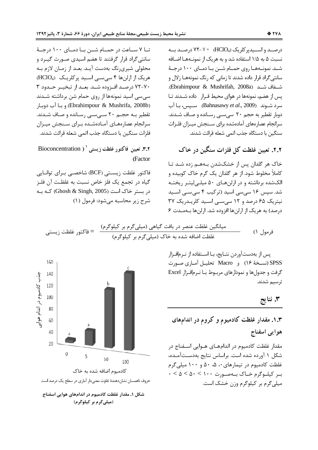تــا ٧ ســاعت در حمــام شــن بــا دمــاى ١٠٠ درجــهٔ سانتی گراد قرار گرفتند تا هضم اسیدی صـورت گیــرد و محلولی شیریرنگ بهدست آیـد. بعـد از زمـان لازم بـه هریک از ارلنها ۴ سیسی اسید پرکلریک (HClO4) ۷۰–۷۲ درصـد افـزوده شـد. بعـد از تبخيــر حـدود ۳ سی سی اسید نمونهها از روی حمام شن برداشته شـدند (Ebrahimpour & Mushrifa, 2008b) و بـا آب دوبـار تقطیر بـه حجـم ۲۰ سـیسـی رسـانده و صـاف شـدند. سرانجام عصارههـاى آمـادهشـده بـراى سـنجش ميـزان فلزات سنگین با دستگاه جذب اتمی شعله قرائت شدند.

**۳.۲. تعیین فاکتور غلظت زیستی ` ( Bioconcentration (** Factor

فاكتور غلظت زيسـتى (BCF) شاخصـي بـراي توانـايي گیاه در تجمع یک فلز خاص نسبت به غلظت آن فلـز  $\epsilon$ در بستر خاک است (Ghosh & Singh, 2005) کـه بـه شرح زير محاسبه ميشود: فرمول (١)

درصــد و اســيدپر كلريک (HClO4) 7۲-۷۲ درصــد بــه نسبت ۵ به ۱/۵ استفاده شد و به هریک از نمونــههــا اضــافه شـد. نمونــههـا روى حمــام شــن بــا دمــاى ١٠٠ درجــهٔ سانتیگراد قرار داده شدند تا زمانی که رنگ نمونههـا زلال و شفاف شد (Ebrahimpour & Mushrifah, 2008a). يس از هضم، نمونهها در هواي محيط قـرار \_ داده شــدند تــا سرد شـوند (Bahnasawy *et al*., 2009). سـيس، بـا آب دوبار تقطیر به حجم ۲۰ سیسـی رسـانده و صـاف شـدند. سرانجام عصار مهای آمادهشده برای سـنجش میـزان فلـزات سنگین با دستگاه جذب اتمی شعله قرائت شدند.

**۲.۲.** تعیین غلظت کل فلزات سنگین در خاک

خاک هر گلدان پس از خشکشدن بـههـم زده شـد تـا كاملاً مخلوط شود. از هر گلدان يک گرم خاک کوبيده و الکشده برداشته و در ارلنهـای ۵۰ میلـیلیتـر ریختـه شد. سپس ۱۶ سیسی اسید (ترکیب ۴ سی سـی اسـید نیتریک ۶۵ درصد و ۱۲ سیسی اسید کلریـدریک ۳۷ درصد) به هریک از ارلنها افزوده شد. ارلنها بهمـدت ۶

 D XY <D7C = 1( d<C (V2<7 V2 ) 92 C Lo XY B\_ (V2<7 V2 ) G> 6 1@! 6C} XY



شکل **۱.** مقدار غلظت کادمیوم در اندامهای هوایی اسفناج (میلی *گ*رم بر کیلوگرم)

پس از بهدستآوردن نتـايج، بـا اســتفاده از نــرمافـزار SPSS (نسـخهٔ ۱۶) و Macro تحليـل آمـاري صـورت گرفت و جدولها و نمودارهای مربـوط بـا نـرم|فـزار Excel ترسیم شدند.

**O 3.** 

# **'1' ! ! ;I=J '1E .1.3** هوايي اسفناج

مقدار غلظت كادميوم در اندامهـاي هــوايي اســفناج در شکل ۱ آورده شده است. براساس نتایج بهدسـتآمـده، غلظت کادمیوم در تیمارهای ۰، ۵، ۵۰ و ۱۰۰ میلی گرم  $0 < \Delta < \Delta 0 < 1$ ب كيلوگرم خـاک بــهصــورت میلی گرم بر کیلوگرم وزن خشک است.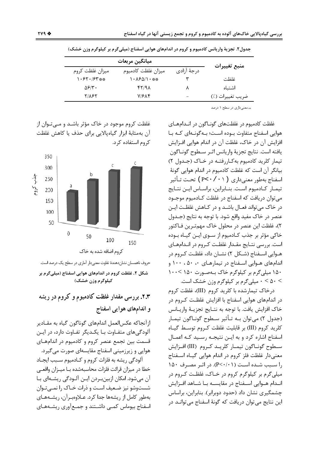| منبع تغييرات<br>درجهٔ آزادی<br>ميزان غلظت كادميوم<br>میزان غلظت کروم<br>غلظت<br>$1.551.57***$<br>** 1087/1۰<br>$\Delta$ ۶/۳۰<br>47/98<br>اشتىاە<br>٨ |  |
|------------------------------------------------------------------------------------------------------------------------------------------------------|--|
|                                                                                                                                                      |  |
|                                                                                                                                                      |  |
|                                                                                                                                                      |  |
| $V/S\Lambda f$<br><b>TILET</b><br>ضريب تغييرات (٪)<br>$\overline{\phantom{a}}$                                                                       |  |

جدول٢. تجزيهٔ واريانس كادميوم و كروم در اندامهاي هوايي اسفناج (ميليگرم بر كيلوگرم وزن خشک)

\*\*معنىدارى در سطح ١ درصد

غلظت کادمیوم در غلظتهای گونــاگون در انــدامهــای هوایی اسفناج متفاوت بـوده اسـت؛ بـه گونـهای کـه بـا افزایش آن در خاک، غلظت آن در اندام هوایی افـزایش يافته است. نتايج تجزيهٔ واريانس اثـر سـطوح گونـاگون تیمار کلرید کادمیوم به کاررفتـه در خـاک (جـدول ۲) بيانگر آن است كه غلظت كادميوم در اندام هوايي گونهٔ اسفناج بهطور معنے داری ( P< ۰ / ۲۰ ) تحت تـأثير تيمـار كـادميوم اسـت. بنـابراين، براسـاس ايـن نتـايج مي توان دريافت كه اسفناج در غلظت كـادميوم موجــود در خاک می تواند فعــال باشــد و در کــاهش غلظــت ایــن عنصر در خاک مفید واقع شود. با توجه به نتایج (جـدول ٢)، غلظت این عنصر در محلول خاک مهمتـرین فـاکتور خاکی مؤثر بر جذب کـادمیوم از ســوی ایــن گیــاه بــوده است. بررسی نتـایج مقـدار غلظـت کـروم در انـدامهـای هـوايي اســفناج (شــكل ۲) نشــان داد، غلظـت كــروم در اندامهای هـوایی اسـفناج در تیمارهـای ۰، ۵۰، ۱۰۰ و ۱۵۰ میلی گرم بر کیلوگرم خاک بـهصـورت ۱۵۰ >۱۰۰ > ۵۰ > ۰ میلیگرم بر کیلوگرم وزن خشک است.

درخاک تیمارشده با کلرید کروم (III)، غلظت کروم در اندامهای هوایی اسفناج با افزایش غلظت کـروم در خاک افزایش یافت. با توجه به نتـایج تجزیـهٔ واریـانس (جدول ۲) می توان بـه تـأثیر سـطوح گونـاگون تیمـار كلريد كروم (III) بر قابليت غلظت كـروم توسـط گيـاه اسفناج اشاره كرد و به ايـن نتيجـه رسـيد كـه اعمـال سطوح گونــاگون تيمــار كلريــد كــروم (III) افــزايش معنیدار غلظت فلز کروم در اندام هوایی گیـاه اسـفناج را سبب شده است (P<٠/٠١). در اثـر مصـرف ١۵٠ میلی گرم بر کیلوگرم کروم در خـاک، غلظـت کـروم در انـدام هــوايي اســفناج در مقايســه بــا شــاهد افــزايش چشمگیری نشان داد (حدود دوبرابر). بنابراین، براساس این نتایج می توان دریافت که گونهٔ اسفناج می توانـد در

غلظت کروم موجود در خاک مؤثر باشـد و مــیتــوان از آن بهمثابهٔ ابزار گیاهپالایی برای حذف یا کاهش غلظت کروم استفاده کرد.



حروف ناهمسان نشاندهندهٔ تفاوت معنیدار آماری در سطح یک درصد است. شکل ۲. غلظت کروم در اندامهای هوایی اسفناج (میلی گرم بر کیلوگرم وزن خشک)

۰.۳. بررسی مقدار غلظت کادمیوم و کروم در ریشه و اندامهای هوایی اسفناج

ازآنجاكه عكس|لعمل اندامهاي گوناگون گياه به مقـادير آلودگی های متفـاوت بـا یکـدیگر تفـاوت دارد، در ایـن قسمت بین تجمع عنصر کروم و کادمیوم در اندامهـای هوایی و زیرزمینی اسفناج مقایسهای صورت می گیرد.

آلودگی ریشه به فلزات کروم و کـادمیوم سـبب ایجـاد خطا در میزان قرائت فلزات محاسبهشده بـا میـزان واقعـی آن می شود. امکان ازبین بردن ایـن آلـودگی ریشـهای بـا شستوشو نیز ضعیف است و ذرات خـاک را نمـیتـوان بهطور کامل از ریشهها جدا کرد. عـلاوهبـرآن، ریشـههـای اسفناج بیوماس کمبی داشـتند و جمـع آوری ریشـههـای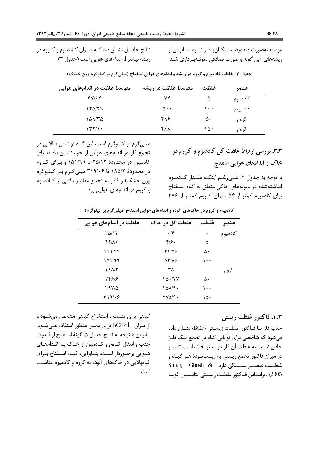نتایج حاصـل نشــان داد کــه میــزان کــادمیوم و کــروم در ریشه بیشتر از اندامهای هوایی است (جدول ٣). مويينه بهصورت صددرصـد امكــانپــذير نبــود. بنــابراين از ریشههای این گونه بهصورت تصادفی نمونـهبـرداری شـد.

| متوسط غلظت در اندامهای هوایی | متوسط غلظت در ریشه   | غلظت          | عنصر    |
|------------------------------|----------------------|---------------|---------|
| 47164                        | ۷۴                   | ۵             | كادميوم |
| ۱۴۵/۲۹                       | $\Delta \cdot \cdot$ | $\cdot \cdot$ | كادميوم |
| ۱۵۹/۳۵                       | ۲۹۶۰                 | ۵۰            | كروم    |
| ۱۳۲/۱۰                       | ۲۶۸۰                 | ۱۵۰           | كروم    |

جدول ۳ . غلظت کادمیوم و کروم در ریشه و اندامهای هوایی اسفناج (میلیگرم بر کیلوگرم وزن خشک)

میلی گرم بر کیلوگرم است، این گیاه توانایی بالایی در تجمع فلز در اندامهای هوایی از خود نشـان داد (بـرای کادمیوم در محدودهٔ ۲۵/۱۳ تا ۱۵۱/۹۹ و برای کروم در محدودهٔ ۱۸۵/۲ تا ۳۱۹/۰۶ میلی گـرم بـر کیلـوگرم وزن خشک) و قادر به تجمع مقادیر بالایی از کـادمیوم و کروم در اندامهای هوایی بود.

۰.۳. بررسی ارتباط غلظت کل کادمیوم و کروم در خاک و اندامهای هوایی اسفناج

با توجه به جدول ۴، علـىرغـم اينكـه مقـدار كـادميوم انباشتهشده در نمونههای خاکی متعلق به گیاه اسـفناج برای کادمیوم کمتر از ۵۴ و برای کروم کمتر از ۲۷۶

کادمیوم و کروم در خاکهای آلوده و اندامهای هوایی اسفناج (میلیگرم بر کیلوگرم)

| غلظت در اندامهای هوایی | غلظت کل در خاک       | غلظت     | عنصر    |
|------------------------|----------------------|----------|---------|
| ۲۵/۱۳                  | .19                  | ۰        | كادميوم |
| 44/17                  | $f/\mathfrak{c}$ .   | ۵        |         |
| ۱۱۹/۳۳                 | <b>٣٢/٢۶</b>         | ۵۰       |         |
| ۱۵۱/۹۹                 | 58188                | $\cdots$ |         |
| ۱۸۵/۲                  | ۳۵                   | ۰        | كروم    |
| 54916                  | $Y\Delta \cdot / YV$ | ۵٠       |         |
| ۲۹۷/۵                  | 101/9.               | $\cdots$ |         |
| ۳۱۹/۰۶                 | $YV\Delta$ $9.$      | ١۵٠      |         |

گیاهی برای تثبیت و استخراج گیاهی مشخص میشـود و از میزان BCF>1 برای همین منظور استفاده مـیشـود. بنابراين با توجه به نتايج جدول ۵، گونهٔ اسـفناج از قـدرت جذب و انتقال کروم و کـادميوم از خـاک بـه انـدامهـای هــوايي برخــوردار اســت. بنــابراين، گيــاه اســفناج بــراي گیاهپالایی در خاکهای آلوده به کروم و کادمیوم مناسب است.

### ۴.۳. فاکتور غلظت زیستی

جذب فلز بــا فــاكتور غلظــت زيســتى (BCF) نشــان داده می شود که شاخصی برای توانایی گیاه در تجمع یـک فلـز خاص نسبت به غلظت آن فلز در بستر خاک است. تغییـر در میزان فاکتور تجمع زیستی به زیستتـودهٔ هـر گیــاه و غلظــت عنصـــر بســـتكى دارد (& Singh, Ghosh 2005) . براســاس فــاكتور غلظـت زيســتى پتانســيل گونــهٔ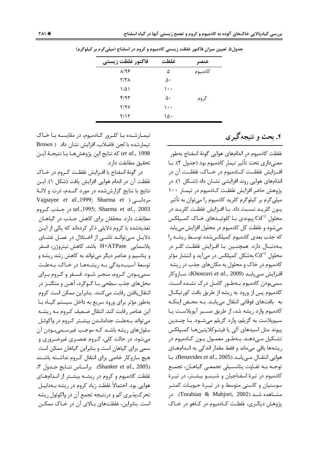| فاكتور غلظت زيستي | غلظت     | عنصر    |
|-------------------|----------|---------|
| $\lambda$ /98     | ۵        | كادميوم |
| ۲/۳۸              | ۵۰       |         |
| ۱۵۱               | $\cdots$ |         |
| ۴۱۹۳              | ۵۰       | كروم    |
| 7/9V              | ۱۰۰      |         |
| ۲/۱۲              | ١۵۰      |         |

جدول۵. تعیین میزان فاکتور غلظت زیستی کادمیوم و کروم در اسفناج (میلیگرم بر کیلوگرم)

تیمـارشـده بـا کلـرور کـادمیوم، در مقایسـه بـا خـاک تیمارشده با لجن فاضلاب، افزایش نشان داد ( Brown et al., 1998) كه نتايج اين پژوهشهـا بـا نتيجـهٔ ايـن تحقيق مطابقت دارد.

در گونهٔ اسفناج با افزایش غلظت کروم در خیاک غلظت آن در اندام هوایی افزایش یافت (شکل ۱). ایـن نتايج با نتايج گزارششده در مورد گنـدم، ذرت و لالـهٔ Vajpayee et al., 1999; Sharma et ) مردابی ر 003 (al.,1995; Sharma et al., 2003) در جـذب كـروم مطابقت دارد. محققان برای کاهش جـذب در گیاهـان تغذیهشده با کروم دلایلی ذکر کردهاند که یکی از ایـن دلایـل مــی توانــد ناشــی از اخــتلال در عمــل غشــای پلاسمايي H+ATPase باشد. كاهش نيتروژن، فسفر و پتاسیم و عناصر دیگر می تواند به کاهش رشد ریشه و توسعهٔ آسیبدیدگی بـه ریشـههـا در خـاک، بـهعلـت سمیبودن کروم، منجر شـود. فسـفر و کـروم بـرای محلهای جذب سطحی بـا گـوگرد، آهـن و منگنـز در انتقال یافتن رقابت می کنند. بنابراین ممکن است کروم بهطور مؤثر برای ورود سریع به داخل سیستم گیاه با این عناصر رقابت کند. انتقال ضعیف کـروم بـه ریشـه می تواند بـهعلـت جدامانـدن بیشـتر کـروم در واکوئـل سلولهای ریشه باشـد کـه موجـب غیرسـمیبـودن آن می شود. در حالت کلی، کـروم عنصـری غیرضـروری و سمی برای گیاهان است و بنابراین گیاهان ممکن است هيچ سازوكار خاصي براي انتقال كـروم نداشـته باشـند Shanker et al., 2005). براساس نتـايج جـدول ٣، غلظت کادمیوم و کروم در ریشـه بیشـتر از انـدامهـای هوایی بود. احتمالاً غلظت زیاد کروم در ریشه بـهدلیـل تحرک پذیری کم و درنتیجه تجمع آن در واکوئول ریشه است. بنابراین، غلظتهای بالای آن در خـاک ممکـن ۴. بحث و نتیجه گیری

غلظت كادميوم در اندامهاي هوايي گونهٔ اسفناج بهطور معنی داری تحت تأثیر تیمار کادمیوم بود (جدول ۲). بـا افزايش غلظــت كـــادميوم در خـــاك، غلظــت آن در اندامهای هوایی روند افزایشی نشـان داد (شـكل ۱). در يژوهش حاضر افزايش غلظت كـادميوم در تيمـار ١٠٠ میلی گرم بر کیلوگرم کلرید کادمیوم را میتوان به تأثیر یـون کلریـد نسـبت داد. بـا افـزایش غلظـت کلریـد در محلول  $\operatorname{Cd}^{+2}$  پیوندی بـا کلوئیــدهای خــاک کمــپلکس میشود و غلظت کل کادمیوم در محلول افزایش می یابد که جذب بعدی کادمیوم کمپلکس شده توسط ریشـه را بـهدنبـال دارد. همچنــین بـا افـزایش غلظـت کلـر در محلول  $\operatorname{Cd}^{+2}$  بەشكل كمپلكس در مىآيد و انتشار مؤثر کادمیوم در خاک و محلول به مکانهای جذب در ریشه افزايش مـىيابـد (Khosravi et al., 2009). سـازوكار سمی بودن کادمیوم بـهطـور کامـل درک نشـده اسـت. كادميوم پس از ورود به ريشه از طريق بافت كورتيكـال به بافتهای فوقانی انتقال می یابـد. بـه محـض اینکـه كادميوم وارد ريشه شد، از طريق مسـير آپوپلاسـت يـا سيمپلاست به گزيلم، وارد گزيلم ميشــود. بــا چنــدين پیوند مثل اسیدهای آلی یا فیتـوکلایتینهـا کمـپلکس تشكيل مـىدهـد. بـهطـور معمـول يـون كـادميوم در ریشهها باقی میماند و فقط مقدار اندکی به انـدامهـای هوايي انتقـال مـييابـد (Benavides et al., 2005). بـا توجـه بـه تفـاوت پتانسـيلي تجمعـي گياهـان، تجمـع كادميوم در تيرة اسفناجيان و شببو بيشتر، در تيـرة سوسنیان و کاسنی متوسط و در تیـرهٔ حبوبـات کمتـر مشــاهده شــد (Torabian & Mahjori, 2002). در پژوهش دیگری، غلظت کـادمیوم در کـاهو در خـاک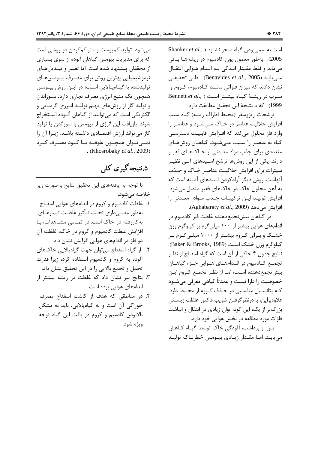است به سميبودن گياه منجر نشــود ( ,Shanker *et al* 2005). بەطور معمول يون كادميوم در ريشەهـا بـاقى میماند و فقط مقـدار انـدکی بـه انـدام هـوایی انتقـال مــ<sub>ى</sub>يابـد (Benavides *et al*., 2005). طــى تحقيقــى نشان دادند که میزان فلزاتی ماننــد کــادمیوم، کــروم و سوب د<sub>ار د</sub>یشـهٔ گیـاه بیشـتر اسـت ( ,.Bennett *et al* 1999) که با نتیجهٔ این تحقیق مطابقت دارد.

ترشحات ريزوسفر (محيط اطراف ريشه) گياه سبب افزایش حلالیت عناصر در خـاک مـیشـود و عناصـر را وارد فاز محلول میکند که افـزایش قابلیـت دسترسـی گیاه به عنصر را سـبب مـیشـود. گیاهـان روشهـای متعددی برای جذب مواد معـدنی از خـاکـهـای فقيـر دارند. یکی از این روشها ترشح اسـیدهای آلـی نظیـر سيترات براي افزايش حلاليت عناصر خـاک و جـذب آنهاست. روش دیگر آزادکردن اسیدهای آمینه است که به آهن محلول خاک در خاکهای فقیر متصل میشود. افزایش تولیـد ایـن ترکیبـات جـذب مـواد معـدنی را افزايش مىدهد (Aghabaraty *et al*., 2009).

در گیاهان بیشتجمعدهنده غلظت فلز کادمیوم در اندامهای هوایی بیشتر از ۱۰۰ میلیگرم بر کیلوگرم وزن خشـک و بـرای کـروم بیشـتر از ۱۰۰۰ میلـیگـرم بـر كيلوگرم وزن خشك است (Baker & Brooks, 1989). نتايج جدول ۴ حاكي از آن است كه گياه اسفناج از نظـر تجمـع كــادميوم در انــدامهــاي هــوايي جــزء گياهــان بیش تجمع دهنده است، امـا از نظـر تجمـع كـروم ايـن خصوصیت را دارا نیست و عمدتاً گیاهی معرفی میشــود كـه پتانسـيل مناسـبي در حـذف كـروم از محـيط دارد. علاوهبراين، با درنظر گرفتن ضريب فاكتور غلظت زيسـتي بزرگتر از یک، این گونه توان زیادی در انتقال و انباشت فلزات مورد مطالعه در بخش هوایی خود دارد.

پس از برداشت، آلودگی خاک توسط گیــاه کــاهش مییابـد، امـا مقـدار زیـادی بیــومس خطرنـاک تولیـد

میشود. تولید کمپوست و متراکمکردن دو روشی است که برای مدیریت بیومس گیاهان آلوده از سوی بسیاری از محققان پیشنهاد شده است. اما تغییر و تبـدیلهـای ترموشیمیایی بهترین روش برای مصـرف بیــومسهــای توليدشده با گيــاهپــالايي اسـت؛ در ايــن روش بيــومس همچون یک منبع انرژی مصرف تجاری دارد. سـوزاندن و تولید گاز از روشهای مهـم تولیـد انـرژی گرمـایی و الكتريكي است كه مي¤وانند از گياهان آلـوده اسـتخراج شوند. بازيافت اين انرژي از بيومس با سوزاندن يا توليد گاز می تواند ارزش اقتصادی داشـته باشـد. زيـرا آن را نمــيتــوان همچـــون علوفـــه يــا كـــود مصـــرف كـــرد .(Khosrobaky *et al*., 2009)

## ۵.نتیجه گیری کلی

با توجه به يافتههاي اين تحقيق نتايج بهصورت زير خلاصه مىشود:

- ۱. غلظت کادمیوم و کروم در اندامهای هوایی اسفناج بهطور معنــىدارى تحـت تــأثير غلظـت تيمارهــاي به کاررفته در خاک است. در تمـامی مشـاهدات، بـا افزایش غلظت کادمیوم و کروم در خاک، غلظت آن دو فلز در اندامهای هوایی افزایش نشان داد.
- ۲. از گیاه اسفناج میتوان جهت گیاهپالایی خاکهای آلوده به کروم و کادمیوم استفاده کرد، زیرا قدرت تحمل و تجمع بالايي را در اين تحقيق نشان داد.
- ۳. نتایج نیز نشان داد که غلظت در ریشه بیشتر از اندامهای هوایی بوده است.
- ۴. در مناطقی که هدف از کاشت اسفناج مصرف خوراکی آن است و نه گیاهپالایی، باید به مشکل بالابودن كادميم و كروم در بافت اين گياه توجه ويژه شود.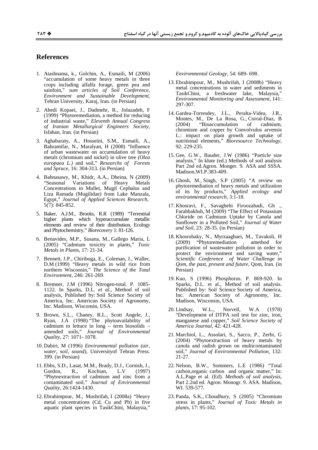#### **References**

- 1. Atashnama, k., Golchin, A., Esmaili, M (2006) "accumulation of some heavy metals in three crops including alfalfa forage, green pea and sainfoin," sum articles of Soil Conference, Environment and Sustainable Development, Tehran University, Karaj, Iran. (in Persian)
- 2. Abedi Kopaei, J., Dadmehr, R., Jolazadeh, F (1999) "Phytoremediation, a method for reducing of industrial waste," Eleventh Annual Congress of Iranian Metallurgical Engineers Society, Isfahan, Iran. (in Persian)
- 3. Aghabaraty, A., Hosseini, S.M., Esmaili, A., Bahramifar, N., Maralyan, H (2008) "Influence of urban wastewater on accumulation of heavy metals (chromium and nickel) in olive tree (Olea europaea L.) and soil," Researchs of Forests and Spruce, 16: 304-313. (in Persian)
- 4. Bahnasawy, M., Khidr, A.A., Dheina, N (2009) "Seasonal Variations of Heavy Metals Concentrations in Mullet, Mugil Cephalus and Liza Ramada (Mugilidae) from Lake Manzala. Egypt," Journal of Applied Sciences Research,  $5(7)$ : 845-852.
- 5. Baker, A.J.M., Brooks, R.R (1989) "Terrestrial higher plants which hyperaccumulate metallic elements and review of their distribution, Ecology and Phytochemistry," Biorecovery 1: 81-126.
- 6. Benavides, M.P., Susana, M., Gallego Maria, L. (2005) "Cadmium toxicity in plants," Toxic Metals in Plants, 17: 21-34.
- 7. Bennett, J.P., Chiriboga, E., Coleman, J., Waller, D.M (1999) "Heavy metals in wild rice from<br>northern Wisconsin," The Science of the Total Environment, 246: 261-269.
- 8. Bremner, J.M (1996) Nitrogen-total. P. 1085-1122. In Sparks, D.L. et al., Method of soil analysis, Published by: Soil Science Society of America, Inc. American Society of Agronomy, Inc. Madison, Wisconsin, USA.
- 9. Brown, S.L., Chaney, R.L., Scott Angele, J., Ryan, J.A (1998) "The phytoavailability of cadmium to lettuce in long - term biosolids amended soils," Journal of Environmental Quality, 27: 1071-1078.
- 10. Dabiri, M (1996) Environmental pollution (air, water, soil, sound), Universityof Tehran Press. 399. (in Persian)
- 11. Ebbs, S.D., Lasat, M.M., Brady, D.J., Cornish, J., L.V Gordon, R., Kochian,  $(1997)$ "Phytoextraction of cadmium and zinc from a contaminated soil," Journal of Environmental Quality, 26:1424-1430.
- 12. Ebrahimpour, M., Mushrifah, I (2008a) "Heavy metal concentrations (Cd, Cu and Pb) in five aquatic plant species in TasikChini, Malaysia,'

Environmental Geology, 54: 689- 698.

- 13. Ebrahimpour, M., Mushrifah, I (2008b) "Heavy metal concentrations in water and sediments in TasikChini, a freshwater lake, Malaysia," Environmental Monitoring and Assessment, 141: 297-307.
- 14. Gardea-Torresdey, J.L., Peralta-Videa, J.R., Montes, M., De La Rosa, G., Corral-Diaz, B "Bioaccumulation of  $(2004)$ cadmium, chromium and copper by Convolvulus arvensis L.: impact on plant growth and uptake of nutritional elements," Bioresource Technology, 92: 229-235.
- 15. Gee, G.W., Bauder, J.W (1986) "Particle size analysis," In klute (ed.) Methods of soil analysis Part 2nd ed.Agron. Monger. 9. ASA and SSSA. Madison, WI.P.383-409.
- 16. Ghosh, M., Singh, S.P (2005) "A review on phytoremediation of heavy metals and utilization of its by products," Applied ecology and environmental research, 3:1-18.
- 17. Khosravi, F., Savaghebi Firoozabadi, Gh., Farahbakhsh, M (2009) "The Effect of Potassium Chloride on Cadmium Uptake by Canola and Sunflower in a Polluted Soil," Journal of Water and Soil, 23: 28-35. (in Persian)
- 18. Khosrobaky, N., Myrzaaghaei, M., Tavakoli, H "Phytoremediation", amethod for  $(2009)$ purification of wastewater pollution in order to protect the environment and saving water," Scientific Conference of Water Challenge in Qom, the past, present and future, Qom, Iran. (in Persian)
- 19. Kuo, S (1996) Phosphorus. P. 869-920. In Sparks, D.L. et al., Method of soil analysis. Published by: Soil Science Society of America, Inc. American Society of Agronomy, Inc. Madison, Wisconsin, USA.
- $\mathbf{W}.\mathbf{L.},$  $(1978)$ 20. Lindsay, Norvell, W.A "Development of DTPA soil test for zinc, iron, manganese and copper," Soil Science Society of America Journal, 42: 421-428.
- 21. Marchiol, L., Assolari, S., Sacco, P., Zerbi, G. (2004) "Phytoextraction of heavy metals by canola and radish grown on multicontaminated soil," Journal of Environmental Pollution, 132: 21-27.
- 22. Nelson, B.W., Sommers, L.E (1986) "Total carbon, organic carbon and organic matter," In: A.L.Page et al. (Ed). Methods of soil analysis, Part 2.2nd ed. Agron. Monogr. 9. ASA. Madison, WI. 539-577.
- 23. Panda, S.K., Choudhury, S (2005) "Chromium stress in plants," Journal of Toxic Metals in *plants*, 17: 95-102.